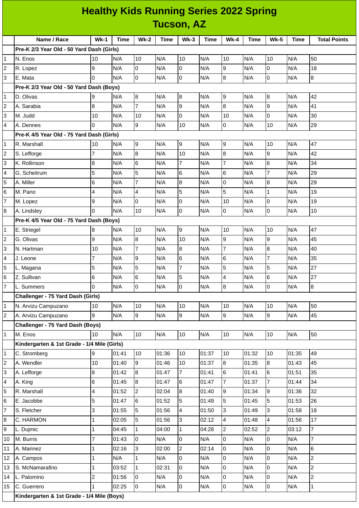| <b>Healthy Kids Running Series 2022 Spring</b> |                                             |                 |       |                 |             |                         |       |                |             |                |       |                     |
|------------------------------------------------|---------------------------------------------|-----------------|-------|-----------------|-------------|-------------------------|-------|----------------|-------------|----------------|-------|---------------------|
|                                                | <b>Tucson, AZ</b>                           |                 |       |                 |             |                         |       |                |             |                |       |                     |
|                                                | Name / Race                                 | $Wk-1$          | Time  | $Wk-2$          | <b>Time</b> | $Wk-3$                  | Time  | <b>Wk-4</b>    | <b>Time</b> | <b>Wk-5</b>    | Time  | <b>Total Points</b> |
|                                                | Pre-K 2/3 Year Old - 50 Yard Dash (Girls)   |                 |       |                 |             |                         |       |                |             |                |       |                     |
| 1                                              | N. Enos                                     | 10              | N/A   | 10              | N/A         | 10                      | N/A   | 10             | N/A         | 10             | N/A   | 50                  |
| 2                                              | R. Lopez                                    | 9               | N/A   | 0               | N/A         | 0                       | N/A   | 9              | N/A         | 0              | N/A   | 18                  |
| 3                                              | E. Mata                                     | 0               | N/A   | Iо              | N/A         | l0                      | N/A   | 8              | N/A         | 0              | N/A   | 8                   |
|                                                | Pre-K 2/3 Year Old - 50 Yard Dash (Boys)    |                 |       |                 |             |                         |       |                |             |                |       |                     |
| 1                                              | D. Olivas                                   | 9               | N/A   | 8               | N/A         | 8                       | N/A   | 9              | N/A         | 8              | N/A   | 42                  |
| 2                                              | A. Sarabia                                  | 8               | N/A   | $\overline{7}$  | N/A         | 9                       | N/A   | 8              | N/A         | 9              | N/A   | 41                  |
| 3                                              | M. Judd                                     | 10              | N/A   | 10              | N/A         | l0                      | N/A   | 10             | N/A         | 0              | N/A   | 30                  |
| 4                                              | A. Dennes                                   | 0               | N/A   | g               | N/A         | 10                      | N/A   | $\overline{0}$ | N/A         | 10             | N/A   | 29                  |
|                                                | Pre-K 4/5 Year Old - 75 Yard Dash (Girls)   |                 |       |                 |             |                         |       |                |             |                |       |                     |
| 1                                              | R. Marshall                                 | 10              | N/A   | 9               | N/A         | 9                       | N/A   | 9              | N/A         | 10             | N/A   | 47                  |
| 2                                              | S. Lefforge                                 | $\overline{7}$  | N/A   | 8               | N/A         | 10                      | N/A   | 8              | N/A         | 9              | N/A   | 42                  |
| 3                                              | K. Rollinson                                | 8               | N/A   | $6\phantom{.}6$ | N/A         | $\overline{7}$          | N/A   | $\overline{7}$ | N/A         | 6              | N/A   | 34                  |
| 4                                              | G. Scheitrum                                | 5               | N/A   | 5               | N/A         | 6                       | N/A   | 6              | N/A         | $\overline{7}$ | N/A   | 29                  |
| 5                                              | A. Miller                                   | 6               | N/A   | $\overline{7}$  | N/A         | $\overline{8}$          | N/A   | $\Omega$       | N/A         | 8              | N/A   | 29                  |
| 6                                              | M. Pano                                     | 4               | N/A   | $\overline{a}$  | N/A         | 5                       | N/A   | 5              | N/A         | $\mathbf{1}$   | N/A   | 19                  |
| 7                                              | M. Lopez                                    | 9               | N/A   | $\mathsf{O}$    | N/A         | l0                      | N/A   | 10             | N/A         | $\mathsf{O}$   | N/A   | 19                  |
| 8                                              | A. Lindsley                                 | 0               | N/A   | 10              | N/A         | 0                       | N/A   | 0              | N/A         | 0              | N/A   | 10                  |
|                                                | Pre-K 4/5 Year Old - 75 Yard Dash (Boys)    |                 |       |                 |             |                         |       |                |             |                |       |                     |
| 1                                              | E. Striegel                                 | 8               | N/A   | 10              | N/A         | 9                       | N/A   | 10             | N/A         | 10             | N/A   | 47                  |
| 2                                              | G. Olivas                                   | 9               | N/A   | 8               | N/A         | 10                      | N/A   | 9              | N/A         | 9              | N/A   | 45                  |
| 3                                              | N. Hartman                                  | 10              | N/A   | $\overline{7}$  | N/A         | 8                       | N/A   | $\overline{7}$ | N/A         | 8              | N/A   | 40                  |
| 4                                              | J. Leone                                    | 7               | N/A   | 9               | N/A         | $6\phantom{.}6$         | N/A   | 6              | N/A         | $\overline{7}$ | N/A   | 35                  |
| 5                                              | L. Magana                                   | 5               | N/A   | 5               | N/A         | $\overline{7}$          | N/A   | 5              | N/A         | 5              | N/A   | 27                  |
| 6                                              | Z. Sullivan                                 | $6\phantom{.}6$ | N/A   | 6               | N/A         | 5                       | N/A   | $\overline{4}$ | N/A         | 6              | N/A   | 27                  |
| $\overline{7}$                                 | L. Summers                                  | 0               | N/A   | lo.             | N/A         | 0                       | N/A   | 8              | N/A         | $\overline{0}$ | N/A   | 8                   |
|                                                | Challenger - 75 Yard Dash (Girls)           |                 |       |                 |             |                         |       |                |             |                |       |                     |
| 1                                              | N. Arvizu Campuzano                         | 10              | N/A   | 10              | N/A         | 10                      | N/A   | 10             | N/A         | 10             | N/A   | 50                  |
| 2                                              | A. Arvizu Campuzano                         | 9               | N/A   | 9               | N/A         | $\overline{9}$          | N/A   | 9              | N/A         | 9              | N/A   | 45                  |
|                                                | Challenger - 75 Yard Dash (Boys)            |                 |       |                 |             |                         |       |                |             |                |       |                     |
| 1                                              | M. Enos                                     | 10              | N/A   | 10              | N/A         | 10                      | N/A   | 10             | N/A         | 10             | N/A   | 50                  |
|                                                | Kindergarten & 1st Grade - 1/4 Mile (Girls) |                 |       |                 |             |                         |       |                |             |                |       |                     |
| 1                                              | C. Stromberg                                | 9               | 01:41 | 10              | 01:36       | 10                      | 01:37 | 10             | 01:32       | 10             | 01:35 | 49                  |
| $\overline{c}$                                 | A. Wendler                                  | 10              | 01:40 | 9               | 01:46       | 10                      | 01:37 | $\overline{8}$ | 01:35       | $\overline{8}$ | 01:43 | 45                  |
| 3                                              | A. Lefforge                                 | 8               | 01:42 | $\, 8$          | 01:47       | $\overline{7}$          | 01:41 | 6              | 01:41       | 6              | 01:51 | 35                  |
| 4                                              | A. King                                     | 6               | 01:45 | 8               | 01:47       | 6                       | 01:47 | $\overline{7}$ | 01:37       | $\overline{7}$ | 01:44 | 34                  |
| 5                                              | R. Marshall                                 | 4               | 01:52 | $\overline{2}$  | 02:04       | 8                       | 01:40 | 9              | 01:34       | 9              | 01:36 | 32                  |
| 6                                              | E. Jacobbe                                  | 5               | 01:47 | 6               | 01:52       | 5                       | 01:49 | 5              | 01:45       | 5              | 01:53 | 26                  |
| $\overline{7}$                                 | S. Fletcher                                 | 3               | 01:55 | 5               | 01:56       | $\overline{\mathbf{4}}$ | 01:50 | 3              | 01:49       | $\overline{3}$ | 01:58 | 18                  |
| 8                                              | C. HARMON                                   | 1               | 02:05 | 5               | 01:56       | $\overline{3}$          | 02:12 | 4              | 01:48       | 4              | 01:56 | 17                  |
| 9                                              | L. Dujmic                                   | 1               | 04:45 | $\mathbf{1}$    | 04:00       | $\mathbf 1$             | 04:28 | $\overline{c}$ | 02:52       | $\overline{2}$ | 03:12 | $\overline{7}$      |
| 10                                             | M. Burris                                   | 7               | 01:43 | lo.             | N/A         | l0                      | N/A   | 0              | N/A         | $\overline{0}$ | N/A   | $\overline{7}$      |
| 11                                             | A. Marinez                                  | 1               | 02:16 | 3               | 02:00       | $\overline{2}$          | 02:14 | 0              | N/A         | 0              | N/A   | 6                   |
| 12                                             | A. Campos                                   | $\mathbf 1$     | N/A   | $\mathbf{1}$    | N/A         | l0                      | N/A   | 0              | N/A         | $\overline{0}$ | N/A   | $\overline{c}$      |
| 13                                             | S. McNamarafino                             | 1               | 03:52 | $\mathbf{1}$    | 02:31       | 0                       | N/A   | 0              | N/A         | $\overline{0}$ | N/A   | $\overline{c}$      |
| 14                                             | L. Palomino                                 | 2               | 01:56 | 0               | N/A         | O                       | N/A   | 0              | N/A         | 0              | N/A   | $\overline{c}$      |
| 15                                             | C. Guerrero                                 | 1               | 02:25 | O               | N/A         | 0                       | N/A   | 0              | N/A         | $\overline{0}$ | N/A   | $\mathbf 1$         |
|                                                |                                             |                 |       |                 |             |                         |       |                |             |                |       |                     |

**Kindergarten & 1st Grade - 1/4 Mile (Boys)**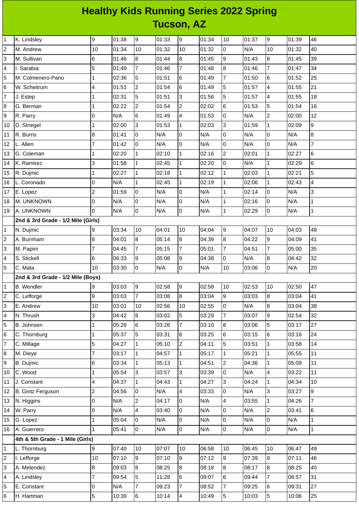## **Healthy Kids Running Series 2022 Spring Tucson, AZ**

| $\mathbf{1}$            | K. Lindsley                        | 9              | 01:38 | $\overline{9}$ | 01:33 | 9                | 01:34 | 10             | 01:37 | 9              | 01:39 | 46                       |
|-------------------------|------------------------------------|----------------|-------|----------------|-------|------------------|-------|----------------|-------|----------------|-------|--------------------------|
| $\overline{c}$          | M. Andrew                          | 10             | 01:34 | 10             | 01:32 | 10               | 01:32 | 0              | N/A   | 10             | 01:32 | 40                       |
| 3                       | M. Sullivan                        | 6              | 01:46 | 8              | 01:44 | $\overline{8}$   | 01:45 | 9              | 01:43 | 8              | 01:45 | 39                       |
| 4                       | I. Sarabia                         | 5              | 01:49 | $\overline{7}$ | 01:46 | $\overline{7}$   | 01:48 | 8              | 01:46 | $\overline{7}$ | 01:47 | 34                       |
| 5                       | M. Colmenero-Pano                  | 1              | 02:36 | 5              | 01:51 | $6\phantom{.}6$  | 01:49 | $\overline{7}$ | 01:50 | 6              | 01:52 | 25                       |
| $6\phantom{.}6$         | W. Scheitrum                       | 4              | 01:51 | $\overline{c}$ | 01:54 | $\,$ 6           | 01:49 | 5              | 01:57 | 4              | 01:55 | 21                       |
| 7                       | J. Estep                           | 1              | 02:31 | 5              | 01:51 | 3                | 01:56 | 5              | 01:57 | 4              | 01:55 | 18                       |
| 8                       | G. Berman                          | 1              | 02:22 | $\overline{c}$ | 01:54 | $\overline{c}$   | 02:02 | 6              | 01:53 | 5              | 01:54 | 16                       |
| 9                       | R. Parry                           | 0              | N/A   | $6\phantom{.}$ | 01:49 | 4                | 01:53 | 0              | N/A   | $\overline{c}$ | 02:00 | 12                       |
| 10                      | D. Striegel                        | 1              | 02:00 | $\overline{3}$ | 01:53 | $\mathbf{1}$     | 02:03 | 3              | 01:59 | $\mathbf 1$    | 02:09 | $\boldsymbol{9}$         |
| 11                      | R. Burris                          | 8              | 01:41 | $\overline{0}$ | N/A   | $\overline{0}$   | N/A   | 0              | N/A   | 0              | N/A   | 8                        |
| 12                      | L. Allen                           | $\overline{7}$ | 01:42 | $\overline{0}$ | N/A   | $\overline{0}$   | N/A   | 0              | N/A   | 0              | N/A   | $\overline{7}$           |
| 13                      | G. Coleman                         | 1              | 02:20 | $\mathbf{1}$   | 02:10 | $\mathbf{1}$     | 02:16 | $\overline{c}$ | 02:01 | $\mathbf 1$    | 02:27 | $6\phantom{a}$           |
| 14                      | K. Ramirez                         | 3              | 01:58 | $\mathbf 1$    | 02:45 | $\overline{1}$   | 02:20 | 0              | N/A   | $\mathbf 1$    | 02:29 | $\,6$                    |
| 15                      | R. Dujmic                          | 1              | 02:27 | $\mathbf{1}$   | 02:18 | $\mathbf{1}$     | 02:12 | $\mathbf{1}$   | 02:03 | $\mathbf 1$    | 02:21 | 5                        |
| 16                      | L. Coronado                        | $\overline{0}$ | N/A   | $\mathbf{1}$   | 02:45 | $\mathbf{1}$     | 02:19 | $\mathbf 1$    | 02:06 | $\mathbf{1}$   | 02:43 | $\overline{\mathcal{L}}$ |
| 17                      | E. Lopez                           | $\overline{c}$ | 01:59 | $\overline{0}$ | N/A   | $\mathsf 0$      | N/A   | $\mathbf 1$    | 02:14 | 0              | N/A   | 3                        |
| 18                      | M. UNKNOWN                         | $\overline{0}$ | N/A   | $\overline{0}$ | N/A   | $\overline{0}$   | N/A   | $\mathbf{1}$   | 02:16 | 0              | N/A   | $\mathbf{1}$             |
| 19                      | A. UNKNOWN                         | 0              | N/A   | $\overline{0}$ | N/A   | O                | N/A   | $\mathbf 1$    | 02:29 | 0              | N/A   | $\mathbf 1$              |
|                         | 2nd & 3rd Grade - 1/2 Mile (Girls) |                |       |                |       |                  |       |                |       |                |       |                          |
| 1                       | N. Dujmic                          | 9              | 03:34 | 10             | 04:01 | 10               | 04:04 | 9              | 04:07 | 10             | 04:03 | 48                       |
| $\overline{c}$          | A. Burnham                         | $\, 8$         | 04:01 | $\bf{8}$       | 05:14 | $\boldsymbol{8}$ | 04:39 | 8              | 04:22 | 9              | 04:09 | 41                       |
| 3                       | M. Papini                          | 7              | 04:45 | $\overline{7}$ | 05:15 | $\overline{7}$   | 05:01 | $\overline{7}$ | 04:51 | $\overline{7}$ | 05:00 | 35                       |
| 4                       | S. Stickell                        | 6              | 06:33 | 9              | 05:08 | 9                | 04:38 | 0              | N/A   | 8              | 04:42 | 32                       |
| 5                       | C. Mata                            | 10             | 03:30 | $\overline{0}$ | N/A   | $\overline{0}$   | N/A   | 10             | 03:06 | 0              | N/A   | 20                       |
|                         | 2nd & 3rd Grade - 1/2 Mile (Boys)  |                |       |                |       |                  |       |                |       |                |       |                          |
| $\mathbf{1}$            | <b>B.</b> Wendler                  | 9              | 03:03 | 9              | 02:58 | 9                | 02:58 | 10             | 02:53 | 10             | 02:50 | 47                       |
| $\overline{2}$          | C. Lefforge                        | 9              | 03:03 | $\overline{7}$ | 03:08 | 8                | 03:04 | 9              | 03:03 | 8              | 03:04 | 41                       |
| 3                       | E. Andrew                          | 10             | 03:01 | 10             | 02:56 | 10               | 02:55 | $\overline{0}$ | N/A   | 8              | 03:04 | 38                       |
| 4                       | N. Thrush                          | 3              | 04:42 | $8\,$          | 03:02 | 5                | 03:29 | $\overline{7}$ | 03:07 | 9              | 02:54 | 32                       |
| 5                       | B. Johnsen                         | $\mathbf 1$    | 05:28 | $6\phantom{.}$ | 03:26 | $\overline{7}$   | 03:10 | 8              | 03:06 | 5              | 03:17 | 27                       |
| 6                       | C. Thornburg                       | $\mathbf 1$    | 05:37 | 5              | 03:31 | $6\phantom{.}6$  | 03:25 | 6              | 03:15 | 6              | 03:16 | 24                       |
| $\overline{7}$          | C. Millage                         | 5              | 04:27 | $\mathbf{1}$   | 05:10 | $\overline{c}$   | 04:11 | 5              | 03:51 | 1              | 03:58 | 14                       |
| 8                       | M. Dieye                           | 7              | 03:17 | $\mathbf{1}$   | 04:57 | $\mathbf{1}$     | 05:17 | $\mathbf{1}$   | 05:21 | $\mathbf{1}$   | 05:55 | 11                       |
| 9                       | B. Dujmic                          | 6              | 03:34 | $\mathbf{1}$   | 05:13 | $\mathbf{1}$     | 04:51 | $\overline{c}$ | 04:36 | $\mathbf 1$    | 05:09 | 11                       |
| 10                      | C. Wood                            | $\mathbf 1$    | 05:54 | $\overline{3}$ | 03:57 | 3                | 03:39 | 0              | N/A   | 4              | 03:22 | 11                       |
| 11                      | J. Constant                        | 4              | 04:37 | $\mathbf{1}$   | 04:43 | $\mathbf{1}$     | 04:27 | 3              | 04:24 | $\mathbf 1$    | 04:34 | 10                       |
| 12                      | <b>B. Gintz Ferguson</b>           | $\overline{c}$ | 04:56 | $\overline{0}$ | N/A   | $\overline{a}$   | 03:33 | 0              | N/A   | 3              | 03:27 | 9                        |
| 13                      | N. Higgins                         | $\mathsf 0$    | N/A   | $\overline{c}$ | 04:17 | $\overline{0}$   | N/A   | 4              | 03:55 | $\mathbf 1$    | 04:26 | $\overline{7}$           |
| 14                      | W. Parry                           | $\mathsf 0$    | N/A   | $\overline{4}$ | 03:40 | $\overline{0}$   | N/A   | 0              | N/A   | $\overline{c}$ | 03:41 | $\,6$                    |
| 15                      | G. Lopez                           | 1              | 05:04 | $\overline{0}$ | N/A   | 0                | N/A   | 0              | N/A   | 0              | N/A   | $\mathbf 1$              |
| 16                      | A. Guerrero                        | $\mathbf{1}$   | 05:41 | $\overline{0}$ | N/A   | $\overline{0}$   | N/A   | 0              | N/A   | 0              | N/A   | $\mathbf{1}$             |
|                         | 4th & 5th Grade - 1 Mile (Girls)   |                |       |                |       |                  |       |                |       |                |       |                          |
| $\mathbf 1$             | L. Thornburg                       | 9              | 07:40 | 10             | 07:07 | 10               | 06:58 | 10             | 06:45 | 10             | 06:47 | 49                       |
| $\overline{\mathbf{c}}$ | I. Lefforge                        | 10             | 07:10 | 9              | 07:10 | 9                | 07:12 | 9              | 07:39 | 9              | 07:11 | 46                       |
| 3                       | A. Melendez                        | 8              | 09:03 | $8\,$          | 08:25 | $\boldsymbol{8}$ | 08:18 | 8              | 08:17 | 8              | 08:25 | 40                       |
| 4                       | A. Lindsley                        | $\overline{7}$ | 09:54 | 5              | 11:28 | $6\phantom{.}$   | 09:07 | 6              | 09:44 | $\overline{7}$ | 08:57 | 31                       |
| 5                       | E. Constant                        | 0              | N/A   | $\overline{7}$ | 09:23 | $\overline{7}$   | 08:52 | $\overline{7}$ | 09:25 | 6              | 09:31 | 27                       |
| 6                       | H. Hartman                         | 5              | 10:39 | 6              | 10:14 | $\overline{4}$   | 10:49 | 5              | 10:03 | 5              | 10:06 | 25                       |